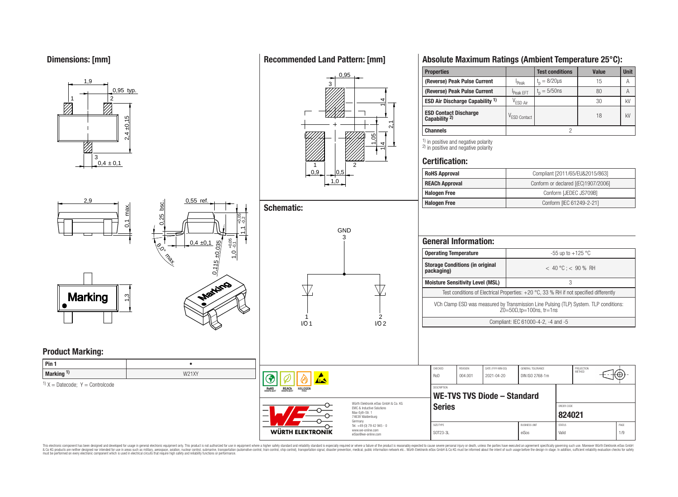**Dimensions: [mm]**



**Pin 1** • **Marking <sup>1</sup>) W21XY** 

# **Recommended Land Pattern: [mm]**



# **Schematic:**

**RoHS** 

REACh

**HALOGE** 

**WÜRTH ELEKTRONIK** 

ي<br>-<br>-

 $1,0,0^{+0.05}_{-0.1}$ 



# **Absolute Maximum Ratings (Ambient Temperature 25°C):**

| <b>Properties</b>                                     |                          | <b>Test conditions</b> | Value | <b>Unit</b> |
|-------------------------------------------------------|--------------------------|------------------------|-------|-------------|
| (Reverse) Peak Pulse Current                          | <sup>I</sup> Peak        | $t_n = 8/20 \mu s$     | 15    | Α           |
| (Reverse) Peak Pulse Current                          | Peak EFT                 | $t_{p} = 5/50$ ns      | 80    | А           |
| <b>ESD Air Discharge Capability 1)</b>                | V <sub>ESD Air</sub>     |                        | 30    | kV          |
| <b>ESD Contact Discharge Capability <sup>2)</sup></b> | V <sub>ESD</sub> Contact |                        | 18    | kV          |
| <b>Channels</b>                                       |                          |                        |       |             |

 $\frac{1}{2}$  in positive and negative polarity <sup>2)</sup> in positive and negative polarity

## **Certification:**

| <b>RoHS Approval</b>  | Compliant [2011/65/EU&2015/863]     |
|-----------------------|-------------------------------------|
| <b>REACh Approval</b> | Conform or declared [(EC)1907/2006] |
| <b>Halogen Free</b>   | Conform [JEDEC JS709B]              |
| <b>Halogen Free</b>   | Conform [IEC 61249-2-21]            |

|                       | <b>General Information:</b>             |                                       |                         |                                                                                          |   |                             |                                                                                       |  |
|-----------------------|-----------------------------------------|---------------------------------------|-------------------------|------------------------------------------------------------------------------------------|---|-----------------------------|---------------------------------------------------------------------------------------|--|
|                       | <b>Operating Temperature</b>            |                                       |                         |                                                                                          |   | $-55$ up to $+125$ °C       |                                                                                       |  |
| packaging)            | <b>Storage Conditions (in original</b>  |                                       | $<$ 40 °C : $<$ 90 % RH |                                                                                          |   |                             |                                                                                       |  |
|                       | <b>Moisture Sensitivity Level (MSL)</b> |                                       |                         |                                                                                          | 3 |                             |                                                                                       |  |
|                       |                                         |                                       |                         | Test conditions of Electrical Properties: $+20$ °C, 33 % RH if not specified differently |   |                             |                                                                                       |  |
|                       |                                         |                                       |                         | $Z0 = 50\Omega$ .tp=100ns. tr=1ns                                                        |   |                             | VCh Clamp ESD was measured by Transmission Line Pulsing (TLP) System. TLP conditions: |  |
|                       |                                         |                                       |                         | Compliant: IEC 61000-4-2, -4 and -5                                                      |   |                             |                                                                                       |  |
|                       |                                         |                                       |                         |                                                                                          |   |                             |                                                                                       |  |
| CHECKED<br><b>RoD</b> | <b>REVISION</b><br>004 001              | DATE (YYYY-MM-DD)<br>$2021 - 04 - 20$ |                         | GENERAL TOLERANCE<br>DIN ISO 2768-1m                                                     |   | PROJECTION<br><b>MFTHOD</b> |                                                                                       |  |

|                                                                              | $\sim$             | <b>UUTIUUT</b> | . | $U \cup V \cup U \cup U \cup V$ |               | — ।∖ ⊤. |      |  |
|------------------------------------------------------------------------------|--------------------|----------------|---|---------------------------------|---------------|---------|------|--|
|                                                                              | <b>DESCRIPTION</b> |                |   |                                 |               |         |      |  |
| WE-TVS TVS Diode - Standard                                                  |                    |                |   |                                 |               |         |      |  |
| Würth Elektronik eiSos GmbH & Co. KG<br><b>FMC &amp; Inductive Solutions</b> | <b>Series</b>      |                |   |                                 | ORDER CODE    |         |      |  |
| Max-Eyth-Str. 1<br>74638 Waldenburg                                          |                    |                |   |                                 | 824021        |         |      |  |
| Germany<br>Tel. +49 (0) 79 42 945 - 0                                        | SIZE/TYPE          |                |   | <b>BLISINESS LINIT</b>          | <b>STATUS</b> |         | PAGE |  |
| www.we-online.com<br>eiSos@we-online.com                                     | SOT23-3L           |                |   | eiSos                           | Valid         |         | 1/9  |  |

<sup>1)</sup>  $X =$  Datecode;  $Y =$  Controlcode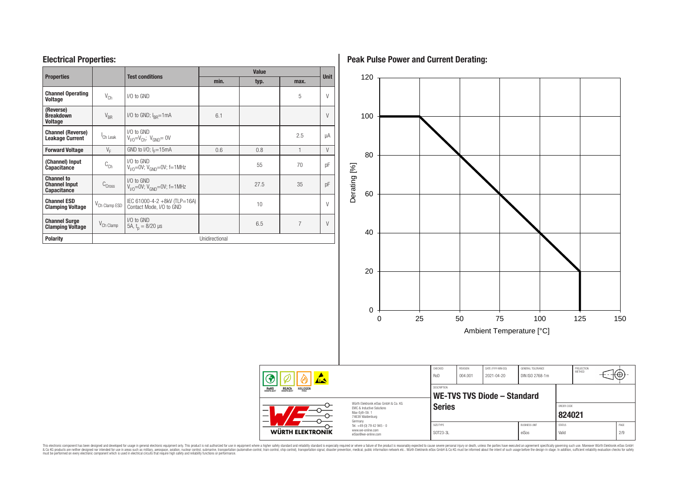## **Electrical Properties:**

| <b>Properties</b>                                               |                           | <b>Test conditions</b>                                   | <b>Value</b>   |      |              |             |  |  |
|-----------------------------------------------------------------|---------------------------|----------------------------------------------------------|----------------|------|--------------|-------------|--|--|
|                                                                 |                           |                                                          | min.           | typ. | max.         | <b>Unit</b> |  |  |
| <b>Channel Operating</b><br><b>Voltage</b>                      | $V_{\text{Ch}}$           | $1/0$ to $GND$                                           |                |      | 5            | $\vee$      |  |  |
| (Reverse)<br>$V_{BR}$<br><b>Breakdown</b><br><b>Voltage</b>     |                           | $1/0$ to GND; $I_{\text{RP}} = 1 \text{mA}$              | 6.1            |      |              | $\vee$      |  |  |
| <b>Channel (Reverse)</b><br><b>Leakage Current</b>              | <sup>I</sup> Ch Leak      | I/O to GND<br>$V1/0=VCh; VGND= 0V$                       |                |      | 2.5          | μA          |  |  |
| <b>Forward Voltage</b>                                          | $V_{E}$                   | GND to I/O; $I_F = 15mA$                                 | 0.6            | 0.8  | $\mathbf{1}$ | $\vee$      |  |  |
| (Channel) Input<br><b>Capacitance</b>                           | $C_{Ch}$                  | I/O to GND<br>$V_{V/O} = 0V$ ; $V_{GND} = 0V$ ; f=1MHz   |                | 55   | 70           | pF          |  |  |
| <b>Channel to</b><br><b>Channel Input</b><br><b>Capacitance</b> | $C_{Cross}$               | I/O to GND<br>$V_{V/O} = 0V$ ; $V_{GND} = 0V$ ; f=1MHz   |                | 27.5 | 35           | pF          |  |  |
| <b>Channel ESD</b><br><b>Clamping Voltage</b>                   | V <sub>Ch</sub> Clamp ESD | IEC 61000-4-2 +8kV (TLP=16A)<br>Contact Mode, I/O to GND |                | 10   |              | V           |  |  |
| <b>Channel Surge</b><br><b>Clamping Voltage</b>                 | V <sub>Ch</sub> Clamp     | $1/0$ to $GND$<br>5A, $t_n = 8/20 \mu s$                 |                | 6.5  | 7            | $\vee$      |  |  |
| <b>Polarity</b>                                                 |                           |                                                          | Unidirectional |      |              |             |  |  |

**Peak Pulse Power and Current Derating:**



This electronic component has been designed and developed for usage in general electronic equipment only. This product is not authorized for subserved requipment where a higher selection equipment where a higher selection

RoHS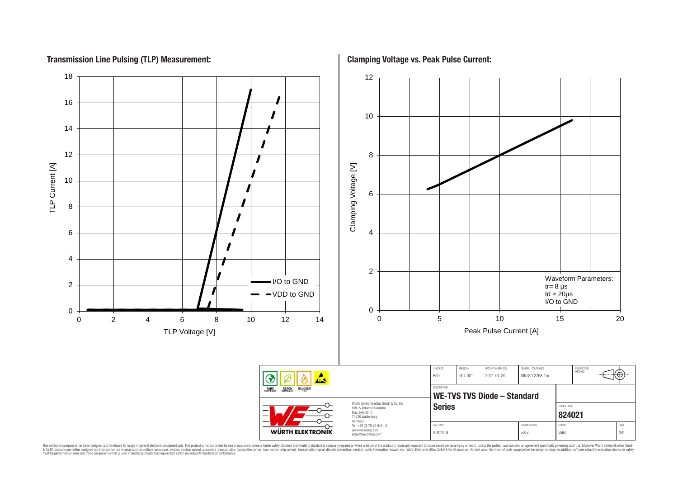# **Transmission Line Pulsing (TLP) Measurement:**

TLP Current [A]

TLP Current [A]

18 12 16 10 14 12 8 Clamping Voltage [V] Clamping Voltage [V] 10 6 8 6 4 4 2 Waveform Parameters: I/O to GND 2  $tr = 8$  us VDD to GND  $td = 20 \mu s$ I/O to GND 0 0 0 5 10 15 20 0 2 4 6 8 10 12 14 Peak Pulse Current [A] TLP Voltage [V] CHECKED REVISION DATE (YYYY-MM-DD) GENERAL TOLERANCE PROJECTION<br>METHOD ՜⊕ RoD 004.001 2021-04-20 DIN ISO 2768-1m DESCRIPTION RoHS **REACh WE-TVS TVS Diode – Standard** Würth Elektronik eiSos GmbH & Co. KG Series **Series Series ORDER CODE** EMC & Inductive Solutions Max-Eyth-Str. 1 **[824021](https://www.we-online.com/catalog/en/article/824021)** 74638 Waldenburg Germany Tel. +49 (0) 79 42 945 - 0 SIZE/TYPE BUSINESS UNIT STATUS PAGE www.we-online.com

This electronic component has been designed and developed for usage in general electronic equipment only. This product is not authorized for subserved requipment where a higher selection equipment where a higher selection

**WÜRTH ELEKTRONIK** 

eiSos@we-online.com

SOT23-3L eiSos Valid Valid 3/9

**Clamping Voltage vs. Peak Pulse Current:**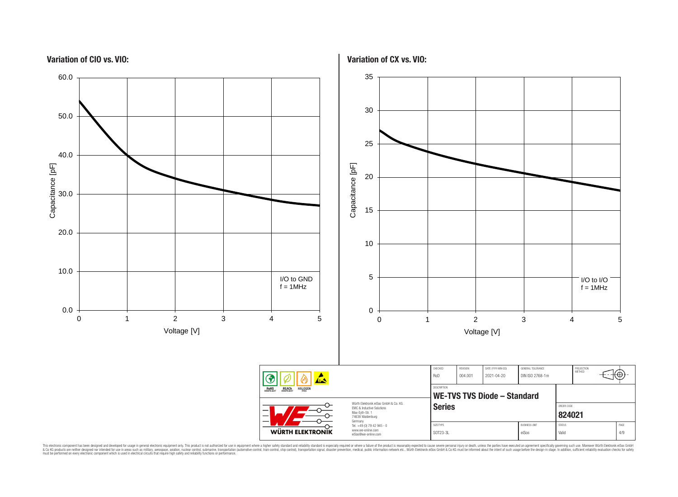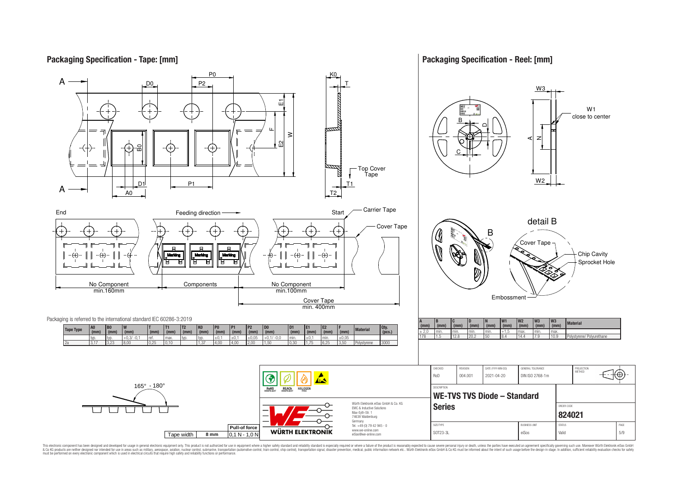## **Packaging Specification - Tape: [mm]**

## **Packaging Specification - Reel: [mm]**

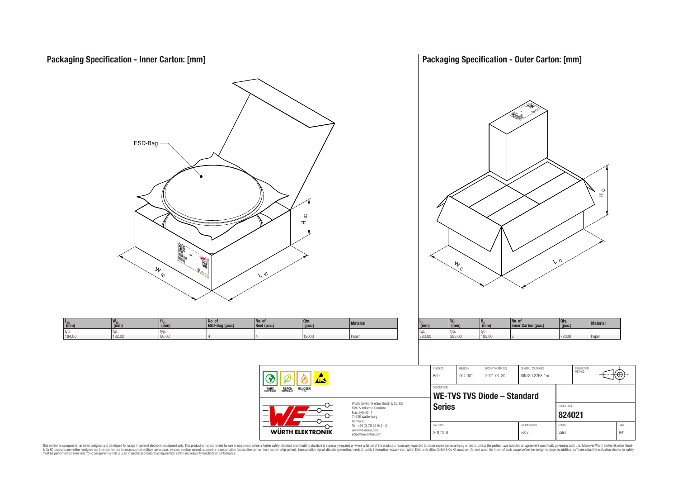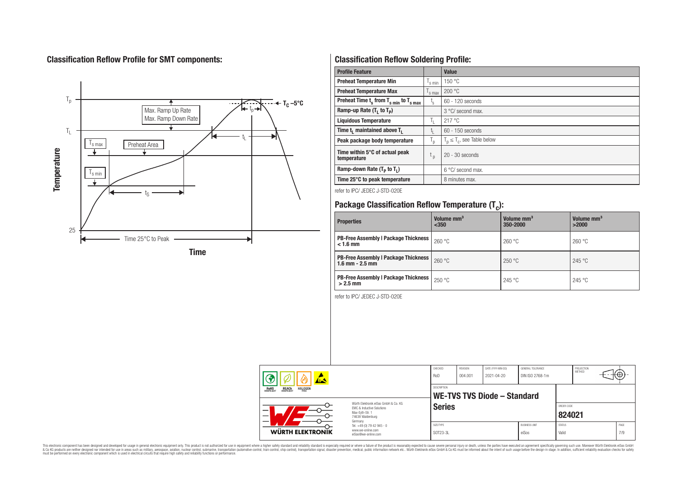# **Classification Reflow Profile for SMT components:**



# **Classification Reflow Soldering Profile:**

| <b>Profile Feature</b>                              |                           | <b>Value</b>                     |
|-----------------------------------------------------|---------------------------|----------------------------------|
| <b>Preheat Temperature Min</b>                      | s min                     | 150 °C                           |
| <b>Preheat Temperature Max</b>                      | <sup>I</sup> s max        | 200 °C                           |
| Preheat Time $t_s$ from $T_{s,min}$ to $T_{s,max}$  | $t_{\rm s}$               | $60 - 120$ seconds               |
| Ramp-up Rate $(T_1$ to $T_p$ )                      |                           | 3 °C/ second max.                |
| <b>Liquidous Temperature</b>                        | Ъ.                        | 217°C                            |
| Time t <sub>1</sub> maintained above T <sub>1</sub> | t,                        | $60 - 150$ seconds               |
| Peak package body temperature                       | $\mathsf{I}_{\mathsf{D}}$ | $T_p \leq T_c$ , see Table below |
| Time within 5°C of actual peak<br>temperature       | t <sub>p</sub>            | $20 - 30$ seconds                |
| Ramp-down Rate $(T_p$ to $T_1$ )                    |                           | 6 °C/ second max.                |
| Time 25°C to peak temperature                       |                           | 8 minutes max.                   |

refer to IPC/ JEDEC J-STD-020E

# **Package Classification Reflow Temperature (T<sup>c</sup> ):**

| <b>Properties</b>                                                    | Volume mm <sup>3</sup><br>< 350 | Volume mm <sup>3</sup><br>350-2000 | Volume mm <sup>3</sup><br>>2000 |
|----------------------------------------------------------------------|---------------------------------|------------------------------------|---------------------------------|
| <b>PB-Free Assembly   Package Thickness</b><br>$< 1.6$ mm            | 260 °C                          | 260 °C                             | 260 °C                          |
| <b>PB-Free Assembly   Package Thickness  </b><br>$1.6$ mm $- 2.5$ mm | 260 °C                          | 250 °C                             | 245 °C                          |
| <b>PB-Free Assembly   Package Thickness  </b><br>$>2.5$ mm           | 250 °C                          | 245 °C                             | 245 °C                          |

refer to IPC/ JEDEC J-STD-020E

| 本人                                                                                                              |                                                            | CHECKED<br>RoD | REVISION<br>004.001                        | DATE (YYYY-MM-DD)<br>2021-04-20 | GENERAL TOLERANCE<br>DIN ISO 2768-1m |               | PROJECTION<br>METHOD | ι₩   |  |
|-----------------------------------------------------------------------------------------------------------------|------------------------------------------------------------|----------------|--------------------------------------------|---------------------------------|--------------------------------------|---------------|----------------------|------|--|
| <b>REACH</b><br>COMPLIANT<br><b>HALOGEN</b><br><b>ROHS</b><br>COMPLIANT<br>Würth Flektronik eiSos GmbH & Co. KG |                                                            |                | DESCRIPTION<br>WE-TVS TVS Diode - Standard |                                 |                                      |               |                      |      |  |
| –                                                                                                               | <b>Series</b>                                              |                |                                            |                                 | ORDER CODE<br>824021                 |               |                      |      |  |
| <b>WÜRTH ELEKTRONIK</b>                                                                                         | Germany<br>Tel. +49 (0) 79 42 945 - 0<br>www.we-online.com | SIZE/TYPE      |                                            |                                 | <b>BUSINESS UNIT</b>                 | <b>STATUS</b> |                      | PAGE |  |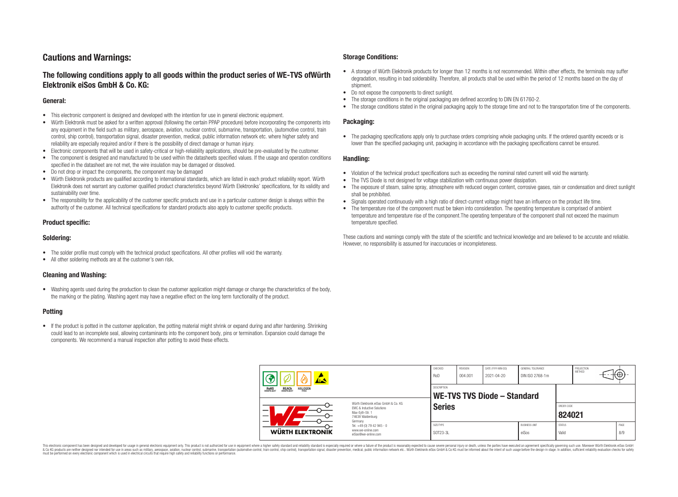## **Cautions and Warnings:**

## **The following conditions apply to all goods within the product series of WE-TVS ofWürth Elektronik eiSos GmbH & Co. KG:**

#### **General:**

- This electronic component is designed and developed with the intention for use in general electronic equipment.
- Würth Elektronik must be asked for a written approval (following the certain PPAP procedure) before incorporating the components into any equipment in the field such as military, aerospace, aviation, nuclear control, submarine, transportation, (automotive control, train control, ship control), transportation signal, disaster prevention, medical, public information network etc. where higher safety and reliability are especially required and/or if there is the possibility of direct damage or human injury.
- Electronic components that will be used in safety-critical or high-reliability applications, should be pre-evaluated by the customer.
- The component is designed and manufactured to be used within the datasheets specified values. If the usage and operation conditions specified in the datasheet are not met, the wire insulation may be damaged or dissolved.
- Do not drop or impact the components, the component may be damaged
- Würth Elektronik products are qualified according to international standards, which are listed in each product reliability report. Würth Elektronik does not warrant any customer qualified product characteristics beyond Würth Elektroniks' specifications, for its validity and sustainability over time.
- The responsibility for the applicability of the customer specific products and use in a particular customer design is always within the authority of the customer. All technical specifications for standard products also apply to customer specific products.

#### **Product specific:**

#### **Soldering:**

- The solder profile must comply with the technical product specifications. All other profiles will void the warranty.
- All other soldering methods are at the customer's own risk.

#### **Cleaning and Washing:**

• Washing agents used during the production to clean the customer application might damage or change the characteristics of the body. the marking or the plating. Washing agent may have a negative effect on the long term functionality of the product.

#### **Potting**

• If the product is potted in the customer application, the potting material might shrink or expand during and after hardening. Shrinking could lead to an incomplete seal, allowing contaminants into the component body, pins or termination. Expansion could damage the components. We recommend a manual inspection after potting to avoid these effects.

#### **Storage Conditions:**

- A storage of Würth Elektronik products for longer than 12 months is not recommended. Within other effects, the terminals may suffer degradation, resulting in bad solderability. Therefore, all products shall be used within the period of 12 months based on the day of shipment.
- Do not expose the components to direct sunlight.<br>• The storage conditions in the original packaging
- The storage conditions in the original packaging are defined according to DIN EN 61760-2.
- The storage conditions stated in the original packaging apply to the storage time and not to the transportation time of the components.

#### **Packaging:**

• The packaging specifications apply only to purchase orders comprising whole packaging units. If the ordered quantity exceeds or is lower than the specified packaging unit, packaging in accordance with the packaging specifications cannot be ensured.

#### **Handling:**

- Violation of the technical product specifications such as exceeding the nominal rated current will void the warranty.
- The TVS Diode is not designed for voltage stabilization with continuous power dissipation.
- The exposure of steam, saline spray, atmosphere with reduced oxygen content, corrosive gases, rain or condensation and direct sunlight shall be prohibited.
- Signals operated continuously with a high ratio of direct-current voltage might have an influence on the product life time.
- The temperature rise of the component must be taken into consideration. The operating temperature is comprised of ambient temperature and temperature rise of the component.The operating temperature of the component shall not exceed the maximum temperature specified.

These cautions and warnings comply with the state of the scientific and technical knowledge and are believed to be accurate and reliable. However, no responsibility is assumed for inaccuracies or incompleteness.

| 林                                                                       |                                                                                                                                | CHECKED<br>Ro <sub>D</sub> | REVISION<br>004.001                               | DATE (YYYY-MM-DD)<br>2021-04-20 | GENERAL TOLERANCE<br>DIN ISO 2768-1m |                        | PROJECTION<br><b>METHOD</b> | ा∜∀⊤        |
|-------------------------------------------------------------------------|--------------------------------------------------------------------------------------------------------------------------------|----------------------------|---------------------------------------------------|---------------------------------|--------------------------------------|------------------------|-----------------------------|-------------|
| <b>HALOGEN</b><br><b>ROHS</b><br>COMPLIANT<br><b>REACH</b><br>COMPLIANT |                                                                                                                                |                            | <b>DESCRIPTION</b><br>WE-TVS TVS Diode – Standard |                                 |                                      |                        |                             |             |
| –                                                                       | Würth Elektronik eiSos GmbH & Co. KG<br><b>EMC &amp; Inductive Solutions</b><br>Max-Eyth-Str. 1<br>74638 Waldenburg<br>Germany | <b>Series</b>              |                                                   |                                 |                                      | ORDER CODE<br>824021   |                             |             |
| WÜRTH ELEKTRONIK                                                        | Tel. +49 (0) 79 42 945 - 0<br>www.we-online.com<br>eiSos@we-online.com                                                         | SIZE/TYPE<br>SOT23-3L      |                                                   |                                 | <b>BUSINESS UNIT</b><br>eiSos        | <b>STATUS</b><br>Valid |                             | PAGE<br>8/9 |

This electronic component has been designed and developed for usage in general electronic equipment only. This product is not authorized for use in equipment where a higher safety standard and reliability standard si espec & Ook product a label and the membed of the seasuch as marked and as which such a membed and the such assume that income in the seasuch and the simulation and the such assume that include to the such a membed and the such